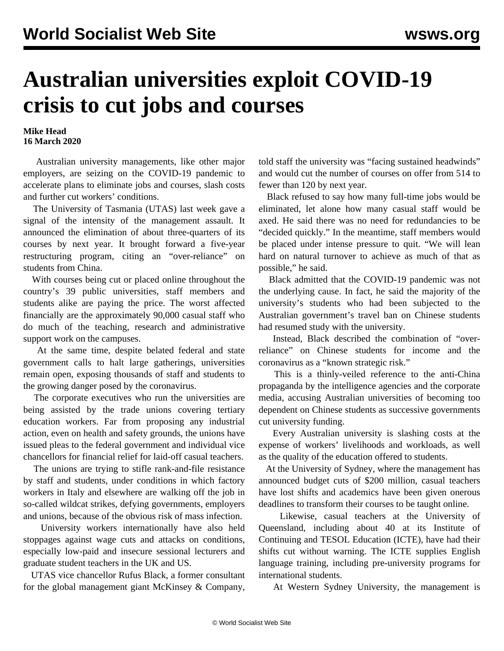## **Australian universities exploit COVID-19 crisis to cut jobs and courses**

## **Mike Head 16 March 2020**

 Australian university managements, like other major employers, are seizing on the COVID-19 pandemic to accelerate plans to eliminate jobs and courses, slash costs and further cut workers' conditions.

 The University of Tasmania (UTAS) last week gave a signal of the intensity of the management assault. It announced the elimination of about three-quarters of its courses by next year. It brought forward a five-year restructuring program, citing an "over-reliance" on students from China.

 With courses being cut or placed online throughout the country's 39 public universities, staff members and students alike are paying the price. The worst affected financially are the approximately 90,000 casual staff who do much of the teaching, research and administrative support work on the campuses.

 At the same time, despite belated federal and state government calls to halt large gatherings, universities remain open, exposing thousands of staff and students to the growing danger posed by the coronavirus.

 The corporate executives who run the universities are being assisted by the trade unions covering tertiary education workers. Far from proposing any industrial action, even on health and safety grounds, the unions have issued pleas to the federal government and individual vice chancellors for financial relief for laid-off casual teachers.

 The unions are trying to stifle rank-and-file resistance by staff and students, under conditions in which factory workers in Italy and elsewhere are [walking off the job](/en/articles/2020/03/14/ital-m14.html) in so-called wildcat strikes, defying governments, employers and unions, because of the obvious risk of mass infection.

 University workers internationally have also held stoppages against wage cuts and attacks on conditions, especially low-paid and insecure sessional lecturers and graduate student teachers in the UK and US.

 UTAS vice chancellor Rufus Black, a former consultant for the global management giant McKinsey & Company,

told staff the university was "facing sustained headwinds" and would cut the number of courses on offer from 514 to fewer than 120 by next year.

 Black refused to say how many full-time jobs would be eliminated, let alone how many casual staff would be axed. He said there was no need for redundancies to be "decided quickly." In the meantime, staff members would be placed under intense pressure to quit. "We will lean hard on natural turnover to achieve as much of that as possible," he said.

 Black admitted that the COVID-19 pandemic was not the underlying cause. In fact, he said the majority of the university's students who had been subjected to the Australian government's travel ban on Chinese students had resumed study with the university.

 Instead, Black described the combination of "overreliance" on Chinese students for income and the coronavirus as a "known strategic risk."

 This is a thinly-veiled reference to the anti-China propaganda by the intelligence agencies and the corporate media, accusing Australian universities of becoming too dependent on Chinese students as successive governments cut university funding.

 Every Australian university is slashing costs at the expense of workers' livelihoods and workloads, as well as the quality of the education offered to students.

 At the University of Sydney, where the management has announced budget cuts of \$200 million, casual teachers have lost shifts and academics have been given onerous deadlines to transform their courses to be taught online.

 Likewise, casual teachers at the University of Queensland, including about 40 at its Institute of Continuing and TESOL Education (ICTE), have had their shifts cut without warning. The ICTE supplies English language training, including pre-university programs for international students.

At Western Sydney University, the management is